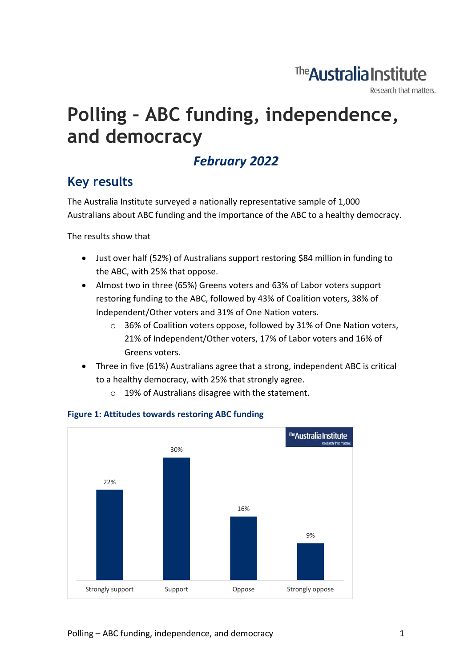## The Australia Institute

Research that matters.

# **Polling – ABC funding, independence, and democracy**

### *February 2022*

### **Key results**

The Australia Institute surveyed a nationally representative sample of 1,000 Australians about ABC funding and the importance of the ABC to a healthy democracy.

The results show that

- Just over half (52%) of Australians support restoring \$84 million in funding to the ABC, with 25% that oppose.
- Almost two in three (65%) Greens voters and 63% of Labor voters support restoring funding to the ABC, followed by 43% of Coalition voters, 38% of Independent/Other voters and 31% of One Nation voters.
	- o 36% of Coalition voters oppose, followed by 31% of One Nation voters, 21% of Independent/Other voters, 17% of Labor voters and 16% of Greens voters.
- Three in five (61%) Australians agree that a strong, independent ABC is critical to a healthy democracy, with 25% that strongly agree.
	- o 19% of Australians disagree with the statement.



#### **Figure 1: Attitudes towards restoring ABC funding**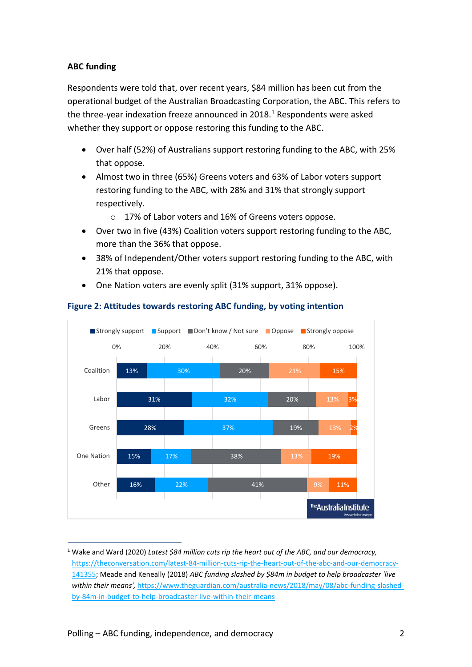#### **ABC funding**

Respondents were told that, over recent years, \$84 million has been cut from the operational budget of the Australian Broadcasting Corporation, the ABC. This refers to the three-year indexation freeze announced in  $2018<sup>1</sup>$  Respondents were asked whether they support or oppose restoring this funding to the ABC.

- Over half (52%) of Australians support restoring funding to the ABC, with 25% that oppose.
- Almost two in three (65%) Greens voters and 63% of Labor voters support restoring funding to the ABC, with 28% and 31% that strongly support respectively.
	- o 17% of Labor voters and 16% of Greens voters oppose.
- Over two in five (43%) Coalition voters support restoring funding to the ABC, more than the 36% that oppose.
- 38% of Independent/Other voters support restoring funding to the ABC, with 21% that oppose.
- One Nation voters are evenly split (31% support, 31% oppose).



#### **Figure 2: Attitudes towards restoring ABC funding, by voting intention**

<sup>1</sup> Wake and Ward (2020) *Latest \$84 million cuts rip the heart out of the ABC, and our democracy,* [https://theconversation.com/latest-84-million-cuts-rip-the-heart-out-of-the-abc-and-our-democracy-](https://theconversation.com/latest-84-million-cuts-rip-the-heart-out-of-the-abc-and-our-democracy-141355)[141355;](https://theconversation.com/latest-84-million-cuts-rip-the-heart-out-of-the-abc-and-our-democracy-141355) Meade and Keneally (2018) *ABC funding slashed by \$84m in budget to help broadcaster 'live within their means',* [https://www.theguardian.com/australia-news/2018/may/08/abc-funding-slashed](https://www.theguardian.com/australia-news/2018/may/08/abc-funding-slashed-by-84m-in-budget-to-help-broadcaster-live-within-their-means)[by-84m-in-budget-to-help-broadcaster-live-within-their-means](https://www.theguardian.com/australia-news/2018/may/08/abc-funding-slashed-by-84m-in-budget-to-help-broadcaster-live-within-their-means)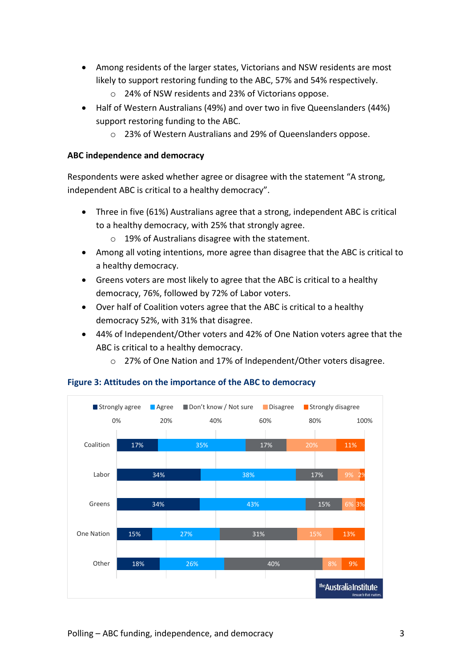- Among residents of the larger states, Victorians and NSW residents are most likely to support restoring funding to the ABC, 57% and 54% respectively.
	- o 24% of NSW residents and 23% of Victorians oppose.
- Half of Western Australians (49%) and over two in five Queenslanders (44%) support restoring funding to the ABC.
	- o 23% of Western Australians and 29% of Queenslanders oppose.

#### **ABC independence and democracy**

Respondents were asked whether agree or disagree with the statement "A strong, independent ABC is critical to a healthy democracy".

- Three in five (61%) Australians agree that a strong, independent ABC is critical to a healthy democracy, with 25% that strongly agree.
	- o 19% of Australians disagree with the statement.
- Among all voting intentions, more agree than disagree that the ABC is critical to a healthy democracy.
- Greens voters are most likely to agree that the ABC is critical to a healthy democracy, 76%, followed by 72% of Labor voters.
- Over half of Coalition voters agree that the ABC is critical to a healthy democracy 52%, with 31% that disagree.
- 44% of Independent/Other voters and 42% of One Nation voters agree that the ABC is critical to a healthy democracy.
	- o 27% of One Nation and 17% of Independent/Other voters disagree.



#### **Figure 3: Attitudes on the importance of the ABC to democracy**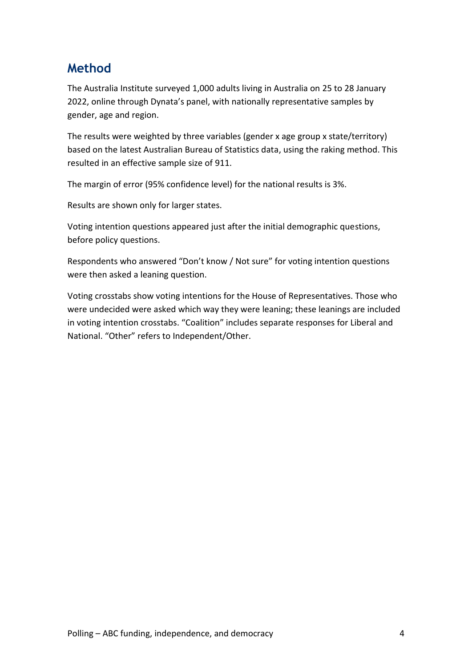### **Method**

The Australia Institute surveyed 1,000 adults living in Australia on 25 to 28 January 2022, online through Dynata's panel, with nationally representative samples by gender, age and region.

The results were weighted by three variables (gender x age group x state/territory) based on the latest Australian Bureau of Statistics data, using the raking method. This resulted in an effective sample size of 911.

The margin of error (95% confidence level) for the national results is 3%.

Results are shown only for larger states.

Voting intention questions appeared just after the initial demographic questions, before policy questions.

Respondents who answered "Don't know / Not sure" for voting intention questions were then asked a leaning question.

Voting crosstabs show voting intentions for the House of Representatives. Those who were undecided were asked which way they were leaning; these leanings are included in voting intention crosstabs. "Coalition" includes separate responses for Liberal and National. "Other" refers to Independent/Other.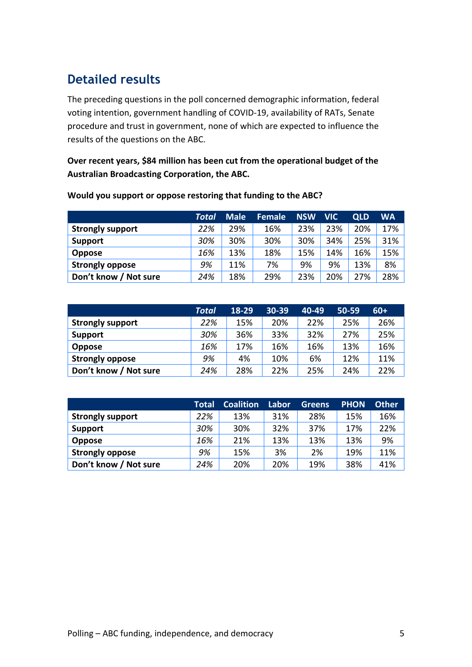### **Detailed results**

The preceding questions in the poll concerned demographic information, federal voting intention, government handling of COVID-19, availability of RATs, Senate procedure and trust in government, none of which are expected to influence the results of the questions on the ABC.

**Over recent years, \$84 million has been cut from the operational budget of the Australian Broadcasting Corporation, the ABC.** 

|                         | <b>Total</b> | <b>Male</b> | <b>Female</b> | <b>NSW</b> | <b>VIC</b> | <b>QLD</b> | <b>WA</b> |
|-------------------------|--------------|-------------|---------------|------------|------------|------------|-----------|
| <b>Strongly support</b> | 22%          | 29%         | 16%           | 23%        | 23%        | 20%        | 17%       |
| <b>Support</b>          | 30%          | 30%         | 30%           | 30%        | 34%        | 25%        | 31%       |
| <b>Oppose</b>           | 16%          | 13%         | 18%           | 15%        | 14%        | 16%        | 15%       |
| <b>Strongly oppose</b>  | 9%           | 11%         | 7%            | 9%         | 9%         | 13%        | 8%        |
| Don't know / Not sure   | 24%          | 18%         | 29%           | 23%        | 20%        | 27%        | 28%       |

#### **Would you support or oppose restoring that funding to the ABC?**

|                         | <b>Total</b> | 18-29 | $30-39$ | 40-49 | 50-59 | $60+$ |
|-------------------------|--------------|-------|---------|-------|-------|-------|
| <b>Strongly support</b> | 22%          | 15%   | 20%     | 22%   | 25%   | 26%   |
| <b>Support</b>          | 30%          | 36%   | 33%     | 32%   | 27%   | 25%   |
| <b>Oppose</b>           | 16%          | 17%   | 16%     | 16%   | 13%   | 16%   |
| <b>Strongly oppose</b>  | 9%           | 4%    | 10%     | 6%    | 12%   | 11%   |
| Don't know / Not sure   | 24%          | 28%   | 22%     | 25%   | 24%   | 22%   |

|                         | <b>Total</b> | <b>Coalition</b> | Labor | <b>Greens</b> | <b>PHON</b> | <b>Other</b> |
|-------------------------|--------------|------------------|-------|---------------|-------------|--------------|
| <b>Strongly support</b> | 22%          | 13%              | 31%   | 28%           | 15%         | 16%          |
| <b>Support</b>          | 30%          | 30%              | 32%   | 37%           | 17%         | 22%          |
| <b>Oppose</b>           | 16%          | 21%              | 13%   | 13%           | 13%         | 9%           |
| <b>Strongly oppose</b>  | 9%           | 15%              | 3%    | 2%            | 19%         | 11%          |
| Don't know / Not sure   | 24%          | 20%              | 20%   | 19%           | 38%         | 41%          |